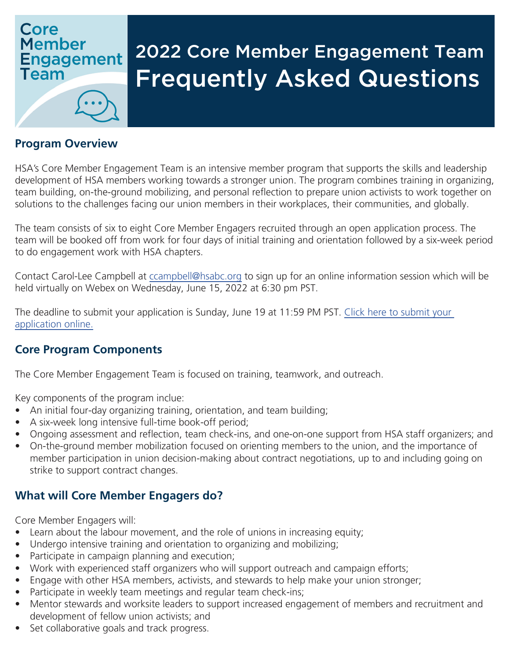## Core **Member Engagement Team**

# 2022 Core Member Engagement Team Frequently Asked Questions

#### **Program Overview**

HSA's Core Member Engagement Team is an intensive member program that supports the skills and leadership development of HSA members working towards a stronger union. The program combines training in organizing, team building, on-the-ground mobilizing, and personal reflection to prepare union activists to work together on solutions to the challenges facing our union members in their workplaces, their communities, and globally.

The team consists of six to eight Core Member Engagers recruited through an open application process. The team will be booked off from work for four days of initial training and orientation followed by a six-week period to do engagement work with HSA chapters.

Contact Carol-Lee Campbell at cc[ampbell@hsabc.org](mailto:CCampbell%40hsabc.org?subject=Member%20Engager%20Q%26A%20Session) to sign up for an online information session which will be held virtually on Webex on Wednesday, June 15, 2022 at 6:30 pm PST.

The deadline to submit your application is Sunday, June 19 at 11:59 PM PST. [Click here to submit your](https://forms.gle/MTiUEfNCgSQu6rTe7)  [application online.](https://forms.gle/MTiUEfNCgSQu6rTe7)

#### **Core Program Components**

The Core Member Engagement Team is focused on training, teamwork, and outreach.

Key components of the program inclue:

- An initial four-day organizing training, orientation, and team building;
- A six-week long intensive full-time book-off period;
- Ongoing assessment and reflection, team check-ins, and one-on-one support from HSA staff organizers; and
- On-the-ground member mobilization focused on orienting members to the union, and the importance of member participation in union decision-making about contract negotiations, up to and including going on strike to support contract changes.

#### **What will Core Member Engagers do?**

Core Member Engagers will:

- Learn about the labour movement, and the role of unions in increasing equity;
- Undergo intensive training and orientation to organizing and mobilizing;
- Participate in campaign planning and execution;
- Work with experienced staff organizers who will support outreach and campaign efforts;
- Engage with other HSA members, activists, and stewards to help make your union stronger;
- Participate in weekly team meetings and regular team check-ins;
- Mentor stewards and worksite leaders to support increased engagement of members and recruitment and development of fellow union activists; and
- Set collaborative goals and track progress.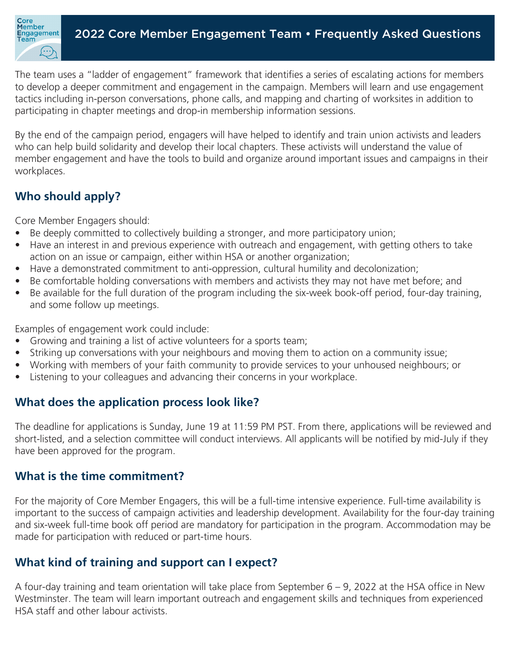

The team uses a "ladder of engagement" framework that identifies a series of escalating actions for members to develop a deeper commitment and engagement in the campaign. Members will learn and use engagement tactics including in-person conversations, phone calls, and mapping and charting of worksites in addition to participating in chapter meetings and drop-in membership information sessions.

By the end of the campaign period, engagers will have helped to identify and train union activists and leaders who can help build solidarity and develop their local chapters. These activists will understand the value of member engagement and have the tools to build and organize around important issues and campaigns in their workplaces.

## **Who should apply?**

Core Member Engagers should:

- Be deeply committed to collectively building a stronger, and more participatory union;
- Have an interest in and previous experience with outreach and engagement, with getting others to take action on an issue or campaign, either within HSA or another organization;
- Have a demonstrated commitment to anti-oppression, cultural humility and decolonization;
- Be comfortable holding conversations with members and activists they may not have met before; and
- Be available for the full duration of the program including the six-week book-off period, four-day training, and some follow up meetings.

Examples of engagement work could include:

- Growing and training a list of active volunteers for a sports team;
- Striking up conversations with your neighbours and moving them to action on a community issue;
- Working with members of your faith community to provide services to your unhoused neighbours; or
- Listening to your colleagues and advancing their concerns in your workplace.

## **What does the application process look like?**

The deadline for applications is Sunday, June 19 at 11:59 PM PST. From there, applications will be reviewed and short-listed, and a selection committee will conduct interviews. All applicants will be notified by mid-July if they have been approved for the program.

## **What is the time commitment?**

For the majority of Core Member Engagers, this will be a full-time intensive experience. Full-time availability is important to the success of campaign activities and leadership development. Availability for the four-day training and six-week full-time book off period are mandatory for participation in the program. Accommodation may be made for participation with reduced or part-time hours.

## **What kind of training and support can I expect?**

A four-day training and team orientation will take place from September 6 – 9, 2022 at the HSA office in New Westminster. The team will learn important outreach and engagement skills and techniques from experienced HSA staff and other labour activists.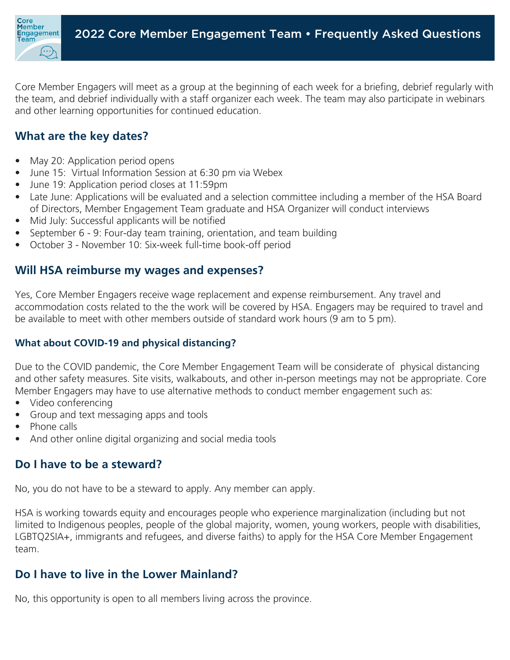

Core Member Engagers will meet as a group at the beginning of each week for a briefing, debrief regularly with the team, and debrief individually with a staff organizer each week. The team may also participate in webinars and other learning opportunities for continued education.

## **What are the key dates?**

- May 20: Application period opens
- June 15: Virtual Information Session at 6:30 pm via Webex
- June 19: Application period closes at 11:59pm
- Late June: Applications will be evaluated and a selection committee including a member of the HSA Board of Directors, Member Engagement Team graduate and HSA Organizer will conduct interviews
- Mid July: Successful applicants will be notified
- September 6 9: Four-day team training, orientation, and team building
- October 3 November 10: Six-week full-time book-off period

#### **Will HSA reimburse my wages and expenses?**

Yes, Core Member Engagers receive wage replacement and expense reimbursement. Any travel and accommodation costs related to the the work will be covered by HSA. Engagers may be required to travel and be available to meet with other members outside of standard work hours (9 am to 5 pm).

#### **What about COVID-19 and physical distancing?**

Due to the COVID pandemic, the Core Member Engagement Team will be considerate of physical distancing and other safety measures. Site visits, walkabouts, and other in-person meetings may not be appropriate. Core Member Engagers may have to use alternative methods to conduct member engagement such as:

- Video conferencing
- Group and text messaging apps and tools
- Phone calls
- And other online digital organizing and social media tools

#### **Do I have to be a steward?**

No, you do not have to be a steward to apply. Any member can apply.

HSA is working towards equity and encourages people who experience marginalization (including but not limited to Indigenous peoples, people of the global majority, women, young workers, people with disabilities, LGBTQ2SIA+, immigrants and refugees, and diverse faiths) to apply for the HSA Core Member Engagement team.

## **Do I have to live in the Lower Mainland?**

No, this opportunity is open to all members living across the province.